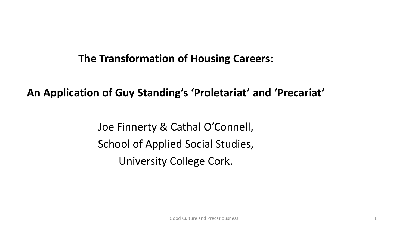### **The Transformation of Housing Careers:**

### **An Application of Guy Standing's 'Proletariat' and 'Precariat'**

Joe Finnerty & Cathal O'Connell, School of Applied Social Studies, University College Cork.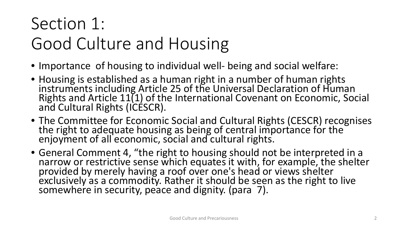### Section 1: Good Culture and Housing

- Importance of housing to individual well- being and social welfare:
- Housing is established as a human right in a number of human rights instruments including Article 25 of the Universal Declaration of Human Rights and Article 11(1) of the International Covenant on Economic, Social and Cultural Rights (ICESCR).
- The Committee for Economic Social and Cultural Rights (CESCR) recognises the right to adequate housing as being of central importance for the enjoyment of all economic, social and cultural rights.
- General Comment 4, "the right to housing should not be interpreted in a narrow or restrictive sense which equates it with, for example, the shelter provided by merely having a roof over one's head or views shelter exclusively as a commodity. Rather it should be seen as the right to live somewhere in security, peace and dignity. (para 7).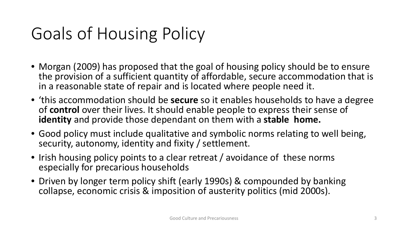## Goals of Housing Policy

- Morgan (2009) has proposed that the goal of housing policy should be to ensure the provision of a sufficient quantity of affordable, secure accommodation that is in a reasonable state of repair and is located where people need it.
- 'this accommodation should be **secure** so it enables households to have a degree of **control** over their lives. It should enable people to express their sense of **identity** and provide those dependant on them with a **stable home.**
- Good policy must include qualitative and symbolic norms relating to well being, security, autonomy, identity and fixity / settlement.
- Irish housing policy points to a clear retreat / avoidance of these norms especially for precarious households
- Driven by longer term policy shift (early 1990s) & compounded by banking collapse, economic crisis & imposition of austerity politics (mid 2000s).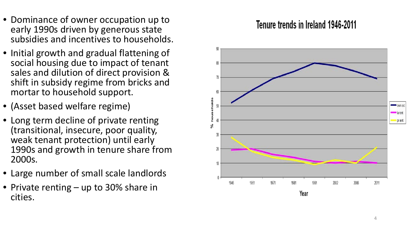- Dominance of owner occupation up to early 1990s driven by generous state subsidies and incentives to households.
- Initial growth and gradual flattening of social housing due to impact of tenant sales and dilution of direct provision & shift in subsidy regime from bricks and mortar to household support.
- (Asset based welfare regime)
- Long term decline of private renting (transitional, insecure, poor quality, weak tenant protection) until early 1990s and growth in tenure share from 2000s.
- Large number of small scale landlords
- Private renting up to 30% share in cities.

### Tenure trends in Ireland 1946-2011

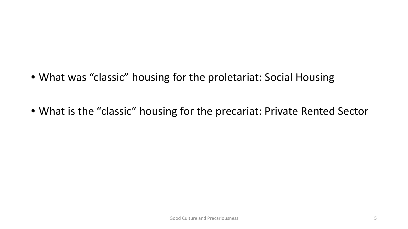- What was "classic" housing for the proletariat: Social Housing
- What is the "classic" housing for the precariat: Private Rented Sector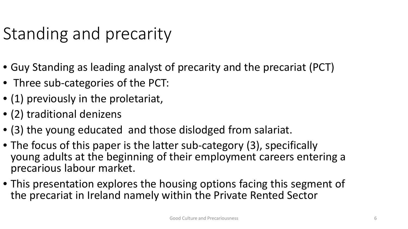### Standing and precarity

- Guy Standing as leading analyst of precarity and the precariat (PCT)
- Three sub-categories of the PCT:
- (1) previously in the proletariat,
- (2) traditional denizens
- (3) the young educated and those dislodged from salariat.
- The focus of this paper is the latter sub-category (3), specifically young adults at the beginning of their employment careers entering a precarious labour market.
- This presentation explores the housing options facing this segment of the precariat in Ireland namely within the Private Rented Sector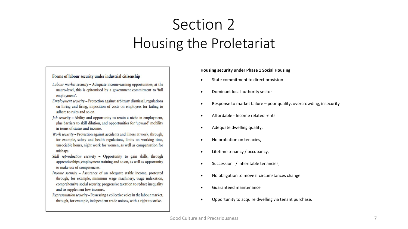### Section 2 Housing the Proletariat

#### Forms of labour security under industrial citizenship

- Labour market security Adequate income-earning opportunities; at the macro-level, this is epitomised by a government commitment to 'full employment'.
- Employment security Protection against arbitrary dismissal, regulations on hiring and firing, imposition of costs on employers for failing to adhere to rules and so on.
- Job security Ability and opportunity to retain a niche in employment, plus barriers to skill dilution, and opportunities for 'upward' mobility in terms of status and income.
- Work security Protection against accidents and illness at work, through, for example, safety and health regulations, limits on working time, unsociable hours, night work for women, as well as compensation for mishaps.
- Skill reproduction security Opportunity to gain skills, through apprenticeships, employment training and so on, as well as opportunity to make use of competencies.
- Income security Assurance of an adequate stable income, protected through, for example, minimum wage machinery, wage indexation, comprehensive social security, progressive taxation to reduce inequality and to supplement low incomes.
- Representation security-Possessing a collective voice in the labour market, through, for example, independent trade unions, with a right to strike.

#### **Housing security under Phase 1 Social Housing**

- State commitment to direct provision
- Dominant local authority sector
- Response to market failure poor quality, overcrowding, insecurity
- Affordable Income related rents
- Adequate dwelling quality,
- No probation on tenacies,
- Lifetime tenancy / occupancy,
- Succession / inheritable tenancies,
- No obligation to move if circumstances change
- Guaranteed maintenance
- Opportunity to acquire dwelling via tenant purchase.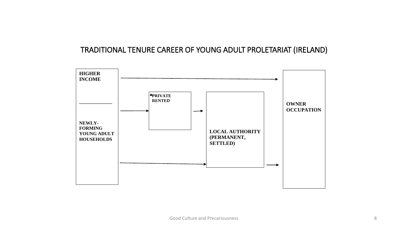### TRADITIONAL TENURE CAREER OF YOUNG ADULT PROLETARIAT (IRELAND)

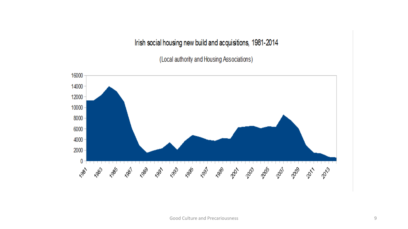Irish social housing new build and acquisitions, 1981-2014

(Local authority and Housing Associations)

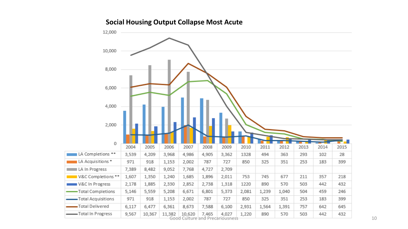### **Social Housing Output Collapse Most Acute**

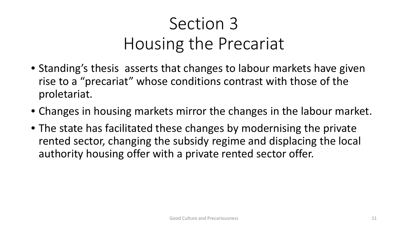# Section 3 Housing the Precariat

- Standing's thesis asserts that changes to labour markets have given rise to a "precariat" whose conditions contrast with those of the proletariat.
- Changes in housing markets mirror the changes in the labour market.
- The state has facilitated these changes by modernising the private rented sector, changing the subsidy regime and displacing the local authority housing offer with a private rented sector offer.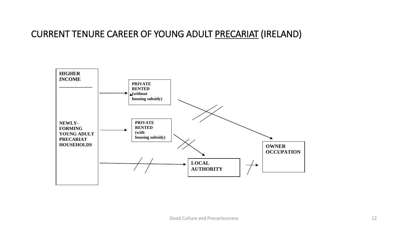### CURRENT TENURE CAREER OF YOUNG ADULT PRECARIAT (IRELAND)

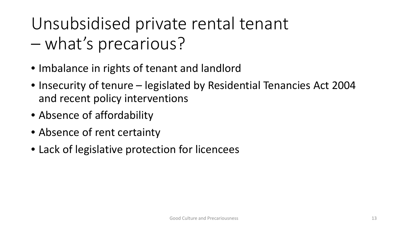## Unsubsidised private rental tenant – what's precarious?

- Imbalance in rights of tenant and landlord
- Insecurity of tenure legislated by Residential Tenancies Act 2004 and recent policy interventions
- Absence of affordability
- Absence of rent certainty
- Lack of legislative protection for licencees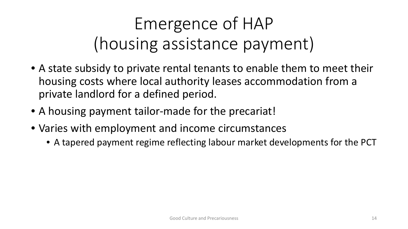# Emergence of HAP (housing assistance payment)

- A state subsidy to private rental tenants to enable them to meet their housing costs where local authority leases accommodation from a private landlord for a defined period.
- A housing payment tailor-made for the precariat!
- Varies with employment and income circumstances
	- A tapered payment regime reflecting labour market developments for the PCT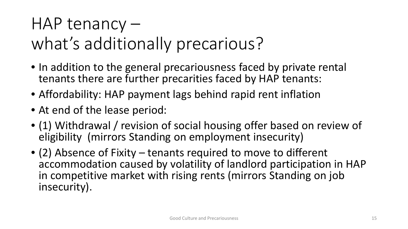### HAP tenancy –

## what's additionally precarious?

- In addition to the general precariousness faced by private rental tenants there are further precarities faced by HAP tenants:
- Affordability: HAP payment lags behind rapid rent inflation
- At end of the lease period:
- (1) Withdrawal / revision of social housing offer based on review of eligibility (mirrors Standing on employment insecurity)
- (2) Absence of Fixity tenants required to move to different accommodation caused by volatility of landlord participation in HAP in competitive market with rising rents (mirrors Standing on job insecurity).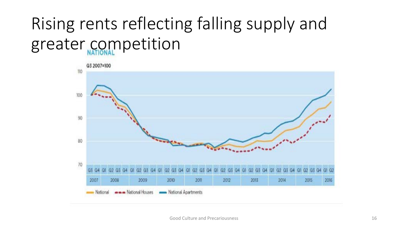# Rising rents reflecting falling supply and greater competition